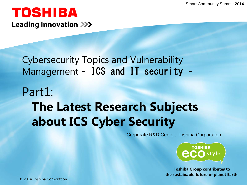### TOSHIBA **Leading Innovation >>>**

#### Cybersecurity Topics and Vulnerability Management – ICS and IT security –

# Part1: **The Latest Research Subjects about ICS Cyber Security**

Corporate R&D Center, Toshiba Corporation



**Toshiba Group contributes to the sustainable future of planet Earth.**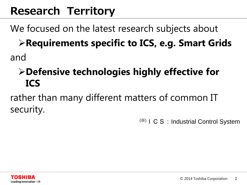# **Research Territory**

We focused on the latest research subjects about

**Requirements specific to ICS, e.g. Smart Grids** and

## **Defensive technologies highly effective for ICS**

rather than many different matters of common IT security.

(\*) I C S : Industrial Control System

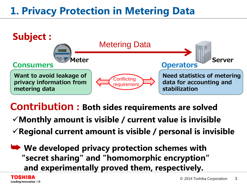# **1. Privacy Protection in Metering Data**



**Contribution : Both sides requirements are solved Monthly amount is visible / current value is invisible Regional current amount is visible / personal is invisible**

➥ **We developed privacy protection schemes with "secret sharing" and "homomorphic encryption" and experimentally proved them, respectively.**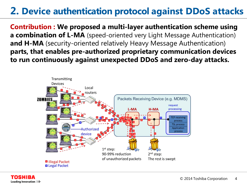#### **2. Device authentication protocol against DDoS attacks**

**Contribution : We proposed a multi-layer authentication scheme using a combination of L-MA** (speed-oriented very Light Message Authentication) **and H-MA** (security-oriented relatively Heavy Message Authentication) **parts, that enables pre-authorized proprietary communication devices to run continuously against unexpected DDoS and zero-day attacks.**